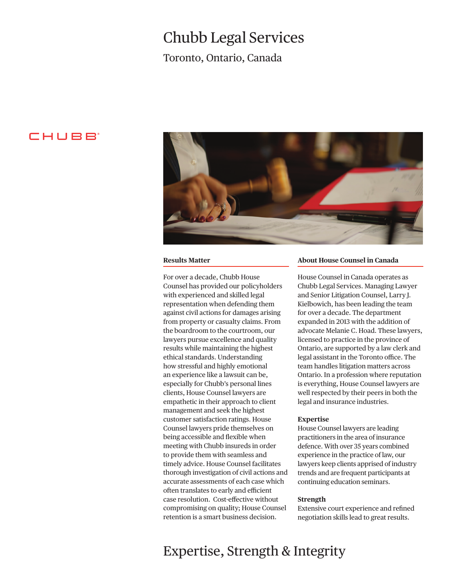# Chubb Legal Services

Toronto, Ontario, Canada

### CHUBB



#### **Results Matter**

For over a decade, Chubb House Counsel has provided our policyholders with experienced and skilled legal representation when defending them against civil actions for damages arising from property or casualty claims. From the boardroom to the courtroom, our lawyers pursue excellence and quality results while maintaining the highest ethical standards. Understanding how stressful and highly emotional an experience like a lawsuit can be, especially for Chubb's personal lines clients, House Counsel lawyers are empathetic in their approach to client management and seek the highest customer satisfaction ratings. House Counsel lawyers pride themselves on being accessible and fexible when meeting with Chubb insureds in order to provide them with seamless and timely advice. House Counsel facilitates thorough investigation of civil actions and accurate assessments of each case which often translates to early and efficient case resolution. Cost-efective without compromising on quality; House Counsel retention is a smart business decision.

#### **About House Counsel in Canada**

House Counsel in Canada operates as Chubb Legal Services. Managing Lawyer and Senior Litigation Counsel, Larry J. Kielbowich, has been leading the team for over a decade. The department expanded in 2013 with the addition of advocate Melanie C. Hoad. These lawyers, licensed to practice in the province of Ontario, are supported by a law clerk and legal assistant in the Toronto office. The team handles litigation matters across Ontario. In a profession where reputation is everything, House Counsel lawyers are well respected by their peers in both the legal and insurance industries.

#### **Expertise**

House Counsel lawyers are leading practitioners in the area of insurance defence. With over 35 years combined experience in the practice of law, our lawyers keep clients apprised of industry trends and are frequent participants at continuing education seminars.

#### **Strength**

Extensive court experience and refned negotiation skills lead to great results.

## Expertise, Strength & Integrity